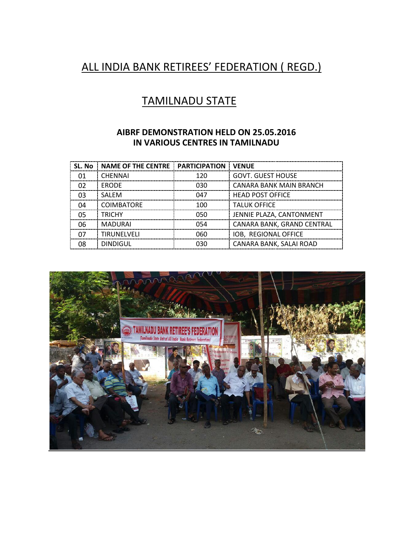# ALL INDIA BANK RETIREES' FEDERATION ( REGD.)

## TAMILNADU STATE

#### **AIBRF DEMONSTRATION HELD ON 25.05.2016 IN VARIOUS CENTRES IN TAMILNADU**

| SL. No | <b>NAME OF THE CENTRE</b> | <b>PARTICIPATION</b> | <b>VENUE</b>               |
|--------|---------------------------|----------------------|----------------------------|
| 01     | <b>CHENNAI</b>            | 120                  | <b>GOVT. GUEST HOUSE</b>   |
| 02     | <b>ERODE</b>              | 030                  | CANARA BANK MAIN BRANCH    |
| 03     | <b>SALEM</b>              | 047                  | <b>HEAD POST OFFICE</b>    |
| 04     | COIMBATORE                | 100                  | <b>TALUK OFFICE</b>        |
| 05     | <b>TRICHY</b>             | 050                  | JENNIE PLAZA, CANTONMENT   |
| 06     | <b>MADURAI</b>            | 054                  | CANARA BANK, GRAND CENTRAL |
| 07     | <b>TIRUNELVELI</b>        | 060                  | IOB, REGIONAL OFFICE       |
| 08     | <b>DINDIGUL</b>           | 030                  | CANARA BANK, SALAI ROAD    |

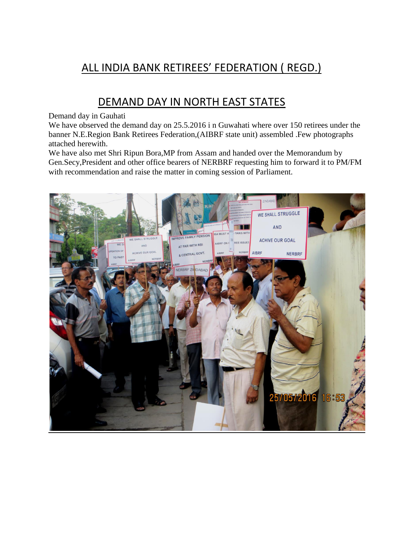# ALL INDIA BANK RETIREES' FEDERATION ( REGD.)

### DEMAND DAY IN NORTH EAST STATES

#### Demand day in Gauhati

We have observed the demand day on 25.5.2016 i n Guwahati where over 150 retirees under the banner N.E.Region Bank Retirees Federation,(AIBRF state unit) assembled .Few photographs attached herewith.

We have also met Shri Ripun Bora,MP from Assam and handed over the Memorandum by Gen.Secy,President and other office bearers of NERBRF requesting him to forward it to PM/FM with recommendation and raise the matter in coming session of Parliament.

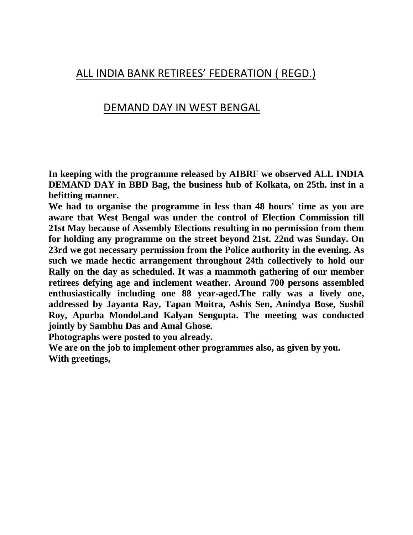#### ALL INDIA BANK RETIREES' FEDERATION ( REGD.)

#### DEMAND DAY IN WEST BENGAL

**In keeping with the programme released by AIBRF we observed ALL INDIA DEMAND DAY in BBD Bag, the business hub of Kolkata, on 25th. inst in a befitting manner.**

**We had to organise the programme in less than 48 hours' time as you are aware that West Bengal was under the control of Election Commission till 21st May because of Assembly Elections resulting in no permission from them for holding any programme on the street beyond 21st. 22nd was Sunday. On 23rd we got necessary permission from the Police authority in the evening. As such we made hectic arrangement throughout 24th collectively to hold our Rally on the day as scheduled. It was a mammoth gathering of our member retirees defying age and inclement weather. Around 700 persons assembled enthusiastically including one 88 year-aged.The rally was a lively one, addressed by Jayanta Ray, Tapan Moitra, Ashis Sen, Anindya Bose, Sushil Roy, Apurba Mondol.and Kalyan Sengupta. The meeting was conducted jointly by Sambhu Das and Amal Ghose.**

**Photographs were posted to you already.**

**We are on the job to implement other programmes also, as given by you. With greetings,**